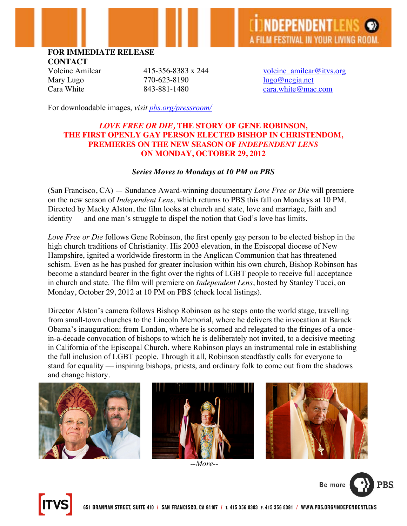# **FOR IMMEDIATE RELEASE**

**CONTACT**

Mary Lugo  $770-623-8190$  lugo@negia.net

Voleine Amilcar  $415-356-8383 \times 244$  voleine amilcar@itvs.org Cara White 843-881-1480 cara.white@mac.com

For downloadable images, *visit pbs.org/pressroom/*

## *LOVE FREE OR DIE,* **THE STORY OF GENE ROBINSON, THE FIRST OPENLY GAY PERSON ELECTED BISHOP IN CHRISTENDOM, PREMIERES ON THE NEW SEASON OF** *INDEPENDENT LENS* **ON MONDAY, OCTOBER 29, 2012**

### *Series Moves to Mondays at 10 PM on PBS*

(San Francisco, CA) — Sundance Award-winning documentary *Love Free or Die* will premiere on the new season of *Independent Lens*, which returns to PBS this fall on Mondays at 10 PM. Directed by Macky Alston, the film looks at church and state, love and marriage, faith and identity — and one man's struggle to dispel the notion that God's love has limits.

*Love Free or Die* follows Gene Robinson, the first openly gay person to be elected bishop in the high church traditions of Christianity. His 2003 elevation, in the Episcopal diocese of New Hampshire, ignited a worldwide firestorm in the Anglican Communion that has threatened schism. Even as he has pushed for greater inclusion within his own church, Bishop Robinson has become a standard bearer in the fight over the rights of LGBT people to receive full acceptance in church and state. The film will premiere on *Independent Lens*, hosted by Stanley Tucci, on Monday, October 29, 2012 at 10 PM on PBS (check local listings).

Director Alston's camera follows Bishop Robinson as he steps onto the world stage, travelling from small-town churches to the Lincoln Memorial, where he delivers the invocation at Barack Obama's inauguration; from London, where he is scorned and relegated to the fringes of a oncein-a-decade convocation of bishops to which he is deliberately not invited, to a decisive meeting in California of the Episcopal Church, where Robinson plays an instrumental role in establishing the full inclusion of LGBT people. Through it all, Robinson steadfastly calls for everyone to stand for equality — inspiring bishops, priests, and ordinary folk to come out from the shadows and change history.







*--More--*



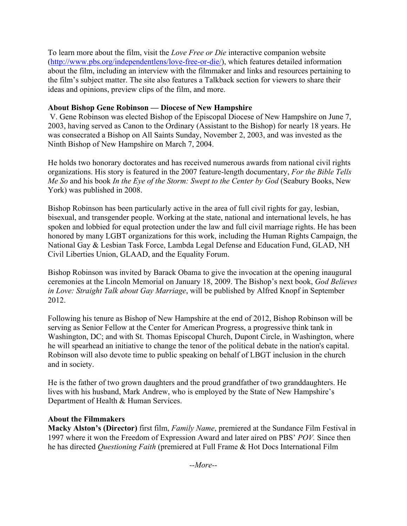To learn more about the film, visit the *Love Free or Die* interactive companion website (http://www.pbs.org/independentlens/love-free-or-die/), which features detailed information about the film, including an interview with the filmmaker and links and resources pertaining to the film's subject matter. The site also features a Talkback section for viewers to share their ideas and opinions, preview clips of the film, and more.

# **About Bishop Gene Robinson — Diocese of New Hampshire**

V. Gene Robinson was elected Bishop of the Episcopal Diocese of New Hampshire on June 7, 2003, having served as Canon to the Ordinary (Assistant to the Bishop) for nearly 18 years. He was consecrated a Bishop on All Saints Sunday, November 2, 2003, and was invested as the Ninth Bishop of New Hampshire on March 7, 2004.

He holds two honorary doctorates and has received numerous awards from national civil rights organizations. His story is featured in the 2007 feature-length documentary, *For the Bible Tells Me So* and his book *In the Eye of the Storm: Swept to the Center by God* (Seabury Books, New York) was published in 2008.

Bishop Robinson has been particularly active in the area of full civil rights for gay, lesbian, bisexual, and transgender people. Working at the state, national and international levels, he has spoken and lobbied for equal protection under the law and full civil marriage rights. He has been honored by many LGBT organizations for this work, including the Human Rights Campaign, the National Gay & Lesbian Task Force, Lambda Legal Defense and Education Fund, GLAD, NH Civil Liberties Union, GLAAD, and the Equality Forum.

Bishop Robinson was invited by Barack Obama to give the invocation at the opening inaugural ceremonies at the Lincoln Memorial on January 18, 2009. The Bishop's next book, *God Believes in Love: Straight Talk about Gay Marriage*, will be published by Alfred Knopf in September 2012.

Following his tenure as Bishop of New Hampshire at the end of 2012, Bishop Robinson will be serving as Senior Fellow at the Center for American Progress, a progressive think tank in Washington, DC; and with St. Thomas Episcopal Church, Dupont Circle, in Washington, where he will spearhead an initiative to change the tenor of the political debate in the nation's capital. Robinson will also devote time to public speaking on behalf of LBGT inclusion in the church and in society.

He is the father of two grown daughters and the proud grandfather of two granddaughters. He lives with his husband, Mark Andrew, who is employed by the State of New Hampshire's Department of Health & Human Services.

# **About the Filmmakers**

**Macky Alston's (Director)** first film, *Family Name*, premiered at the Sundance Film Festival in 1997 where it won the Freedom of Expression Award and later aired on PBS' *POV.* Since then he has directed *Questioning Faith* (premiered at Full Frame & Hot Docs International Film